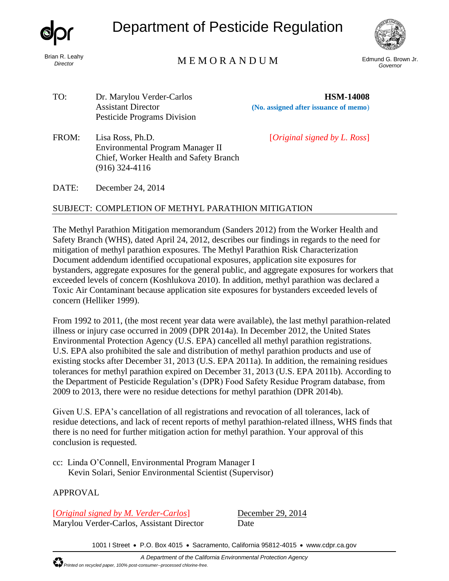

Brian R. Leahy *Director*

# Department of Pesticide Regulation



## Edmund G. Brown Jr. M E M O R A N D U M *Governor*

TO: Dr. Marylou Verder-Carlos **HSM-14008** Pesticide Programs Division

Assistant Director **(No. assigned after issuance of memo**)

FROM: Lisa Ross, Ph.D. [*Original signed by L. Ross*] Environmental Program Manager II Chief, Worker Health and Safety Branch (916) 324-4116

DATE: December 24, 2014

#### SUBJECT: COMPLETION OF METHYL PARATHION MITIGATION

The Methyl Parathion Mitigation memorandum (Sanders 2012) from the Worker Health and Safety Branch (WHS), dated April 24, 2012, describes our findings in regards to the need for mitigation of methyl parathion exposures. The Methyl Parathion Risk Characterization Document addendum identified occupational exposures, application site exposures for bystanders, aggregate exposures for the general public, and aggregate exposures for workers that exceeded levels of concern (Koshlukova 2010). In addition, methyl parathion was declared a Toxic Air Contaminant because application site exposures for bystanders exceeded levels of concern (Helliker 1999).

From 1992 to 2011, (the most recent year data were available), the last methyl parathion-related illness or injury case occurred in 2009 (DPR 2014a). In December 2012, the United States Environmental Protection Agency (U.S. EPA) cancelled all methyl parathion registrations. U.S. EPA also prohibited the sale and distribution of methyl parathion products and use of existing stocks after December 31, 2013 (U.S. EPA 2011a). In addition, the remaining residues tolerances for methyl parathion expired on December 31, 2013 (U.S. EPA 2011b). According to the Department of Pesticide Regulation's (DPR) Food Safety Residue Program database, from 2009 to 2013, there were no residue detections for methyl parathion (DPR 2014b).

Given U.S. EPA's cancellation of all registrations and revocation of all tolerances, lack of residue detections, and lack of recent reports of methyl parathion-related illness, WHS finds that there is no need for further mitigation action for methyl parathion. Your approval of this conclusion is requested.

cc: Linda O'Connell, Environmental Program Manager I Kevin Solari, Senior Environmental Scientist (Supervisor)

### APPROVAL

[*Original signed by M. Verder-Carlos*] December 29, 2014 Marylou Verder-Carlos, Assistant Director Date

1001 I Street • P.O. Box 4015 • Sacramento, California 95812-4015 • [www.cdpr.ca.gov](http://www.cdpr.ca.gov/)